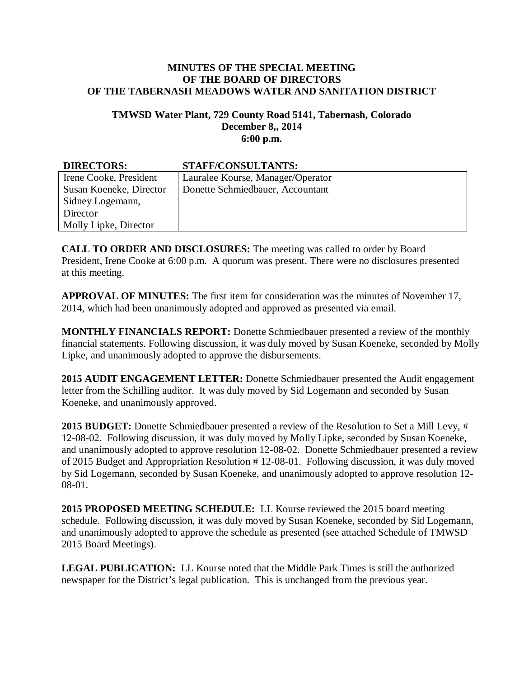## **MINUTES OF THE SPECIAL MEETING OF THE BOARD OF DIRECTORS OF THE TABERNASH MEADOWS WATER AND SANITATION DISTRICT**

## **TMWSD Water Plant, 729 County Road 5141, Tabernash, Colorado December 8,, 2014 6:00 p.m.**

| <b>DIRECTORS:</b>       | <b>STAFF/CONSULTANTS:</b>         |
|-------------------------|-----------------------------------|
| Irene Cooke, President  | Lauralee Kourse, Manager/Operator |
| Susan Koeneke, Director | Donette Schmiedbauer, Accountant  |
| Sidney Logemann,        |                                   |
| Director                |                                   |
| Molly Lipke, Director   |                                   |

**CALL TO ORDER AND DISCLOSURES:** The meeting was called to order by Board President, Irene Cooke at 6:00 p.m. A quorum was present. There were no disclosures presented at this meeting.

**APPROVAL OF MINUTES:** The first item for consideration was the minutes of November 17, 2014, which had been unanimously adopted and approved as presented via email.

**MONTHLY FINANCIALS REPORT:** Donette Schmiedbauer presented a review of the monthly financial statements. Following discussion, it was duly moved by Susan Koeneke, seconded by Molly Lipke, and unanimously adopted to approve the disbursements.

**2015 AUDIT ENGAGEMENT LETTER:** Donette Schmiedbauer presented the Audit engagement letter from the Schilling auditor. It was duly moved by Sid Logemann and seconded by Susan Koeneke, and unanimously approved.

**2015 BUDGET:** Donette Schmiedbauer presented a review of the Resolution to Set a Mill Levy, # 12-08-02. Following discussion, it was duly moved by Molly Lipke, seconded by Susan Koeneke, and unanimously adopted to approve resolution 12-08-02. Donette Schmiedbauer presented a review of 2015 Budget and Appropriation Resolution # 12-08-01. Following discussion, it was duly moved by Sid Logemann, seconded by Susan Koeneke, and unanimously adopted to approve resolution 12- 08-01.

**2015 PROPOSED MEETING SCHEDULE:** LL Kourse reviewed the 2015 board meeting schedule. Following discussion, it was duly moved by Susan Koeneke, seconded by Sid Logemann, and unanimously adopted to approve the schedule as presented (see attached Schedule of TMWSD 2015 Board Meetings).

**LEGAL PUBLICATION:** LL Kourse noted that the Middle Park Times is still the authorized newspaper for the District's legal publication. This is unchanged from the previous year.